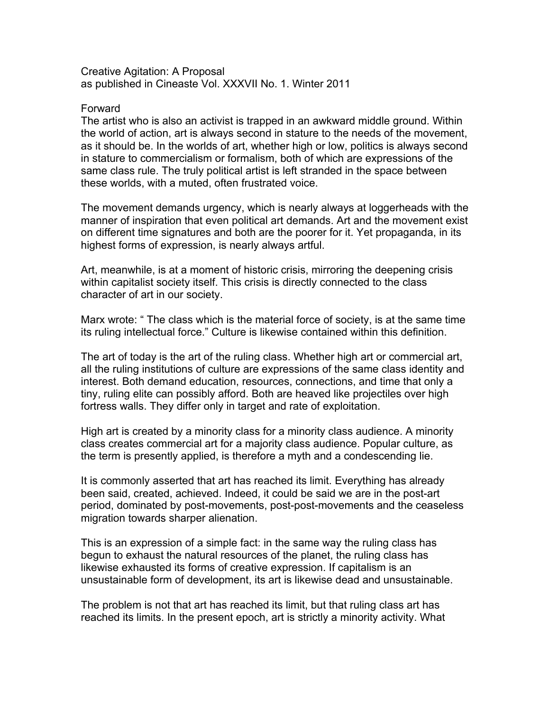Creative Agitation: A Proposal as published in Cineaste Vol. XXXVII No. 1. Winter 2011

## Forward

The artist who is also an activist is trapped in an awkward middle ground. Within the world of action, art is always second in stature to the needs of the movement, as it should be. In the worlds of art, whether high or low, politics is always second in stature to commercialism or formalism, both of which are expressions of the same class rule. The truly political artist is left stranded in the space between these worlds, with a muted, often frustrated voice.

The movement demands urgency, which is nearly always at loggerheads with the manner of inspiration that even political art demands. Art and the movement exist on different time signatures and both are the poorer for it. Yet propaganda, in its highest forms of expression, is nearly always artful.

Art, meanwhile, is at a moment of historic crisis, mirroring the deepening crisis within capitalist society itself. This crisis is directly connected to the class character of art in our society.

Marx wrote: " The class which is the material force of society, is at the same time its ruling intellectual force." Culture is likewise contained within this definition.

The art of today is the art of the ruling class. Whether high art or commercial art, all the ruling institutions of culture are expressions of the same class identity and interest. Both demand education, resources, connections, and time that only a tiny, ruling elite can possibly afford. Both are heaved like projectiles over high fortress walls. They differ only in target and rate of exploitation.

High art is created by a minority class for a minority class audience. A minority class creates commercial art for a majority class audience. Popular culture, as the term is presently applied, is therefore a myth and a condescending lie.

It is commonly asserted that art has reached its limit. Everything has already been said, created, achieved. Indeed, it could be said we are in the post-art period, dominated by post-movements, post-post-movements and the ceaseless migration towards sharper alienation.

This is an expression of a simple fact: in the same way the ruling class has begun to exhaust the natural resources of the planet, the ruling class has likewise exhausted its forms of creative expression. If capitalism is an unsustainable form of development, its art is likewise dead and unsustainable.

The problem is not that art has reached its limit, but that ruling class art has reached its limits. In the present epoch, art is strictly a minority activity. What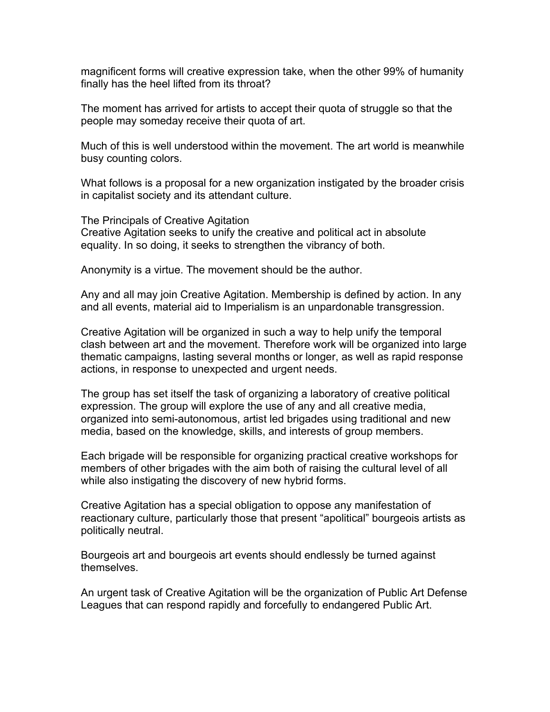magnificent forms will creative expression take, when the other 99% of humanity finally has the heel lifted from its throat?

The moment has arrived for artists to accept their quota of struggle so that the people may someday receive their quota of art.

Much of this is well understood within the movement. The art world is meanwhile busy counting colors.

What follows is a proposal for a new organization instigated by the broader crisis in capitalist society and its attendant culture.

The Principals of Creative Agitation Creative Agitation seeks to unify the creative and political act in absolute equality. In so doing, it seeks to strengthen the vibrancy of both.

Anonymity is a virtue. The movement should be the author.

Any and all may join Creative Agitation. Membership is defined by action. In any and all events, material aid to Imperialism is an unpardonable transgression.

Creative Agitation will be organized in such a way to help unify the temporal clash between art and the movement. Therefore work will be organized into large thematic campaigns, lasting several months or longer, as well as rapid response actions, in response to unexpected and urgent needs.

The group has set itself the task of organizing a laboratory of creative political expression. The group will explore the use of any and all creative media, organized into semi-autonomous, artist led brigades using traditional and new media, based on the knowledge, skills, and interests of group members.

Each brigade will be responsible for organizing practical creative workshops for members of other brigades with the aim both of raising the cultural level of all while also instigating the discovery of new hybrid forms.

Creative Agitation has a special obligation to oppose any manifestation of reactionary culture, particularly those that present "apolitical" bourgeois artists as politically neutral.

Bourgeois art and bourgeois art events should endlessly be turned against themselves.

An urgent task of Creative Agitation will be the organization of Public Art Defense Leagues that can respond rapidly and forcefully to endangered Public Art.